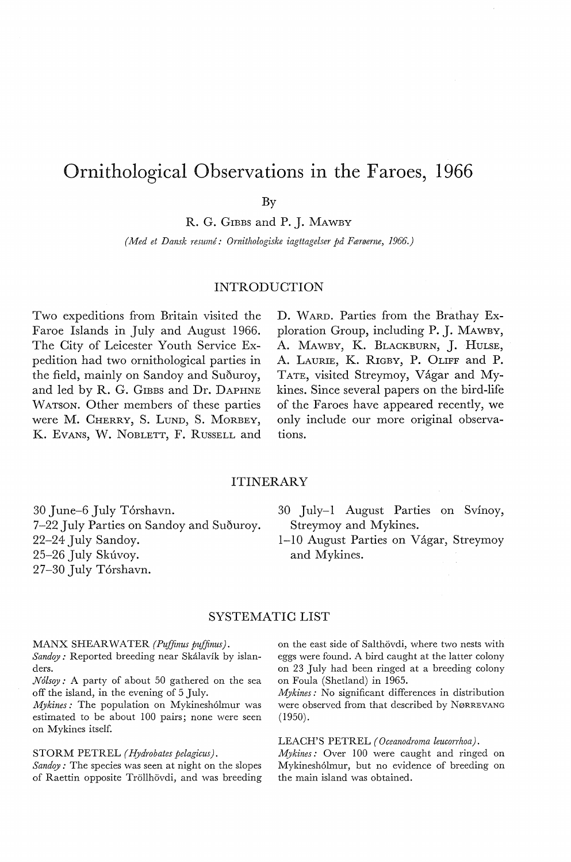# Ornithological Observations in the Faroes, 1966

By

R. G. GIBBS and P. J. MAWBY

*(Med et Dansk resume: Ornithologiske iagttagelser på Færøerne,* 1966.)

#### INTRODUCTION

Two expeditions from Britain visited the Faroe Islands in July and August 1966. The City of Leicester Youth Service Expedition had two ornithological parties in the field, mainly on Sandoy and Suðuroy, and led by R. G. GIBBS and Dr. DAPHNE WATSON. Other members of these parties were M. CHERRY, S. LUND, S. MoRBEY, K. Evans, W. NOBLETT, F. RUSSELL and

D. WARD. Parties from the Brathay Exploration Group, including P. J. MAWBY, A. MAWBY, K. BLACKBURN, J. HULSE, A. LAURIE, K. RIGBY, P. 0LIFF and P. TATE, visited Streymoy, Vágar and Mykines. Since several papers on the bird-life of the Faroes have appeared recently, we only include our more original observations.

## ITINERARY

30 June-6 July Torshavn. 7-22 July Parties on Sandoy and Suðuroy. 22-24 July Sandoy. 25-26 July Skúvoy. 27-30 July Tórshavn.

30 July-1 August Parties on Svinoy, Streymoy and Mykines.

1-10 August Parties on Vagar, Streymoy and Mykines.

# SYSTEMATIC LIST

MANX SHEARWATER (Puffinus puffinus).

*Sandoy :* Reported breeding near Skalavik by islanders.

*N6lsoy:* A party of about 50 gathered on the sea off the island, in the evening of 5 July.

*Mykines:* The population on Mykineshólmur was estimated to be about 100 pairs; none were seen on Mykines itself.

#### STORM PETREL *(Hydrobates pelagicus).*

*Sandoy:* The species was seen at night on the slopes of Raettin opposite Tröllhövdi, and was breeding on the east side of Salthövdi, where two nests with eggs were found. A bird caught at the latter colony on 23 July had been ringed at a breeding colony on Poula (Shetland) in 1965.

*Mykines:* No significant differences in distribution were observed from that described by NøRREVANG (1950).

### LEACH'S PETREL *(Oceanodroma leucorrhoa).*

*Mykines:* Over 100 were caught and ringed on Mykinesh6lmur, but no evidence of breeding on the main island was obtained.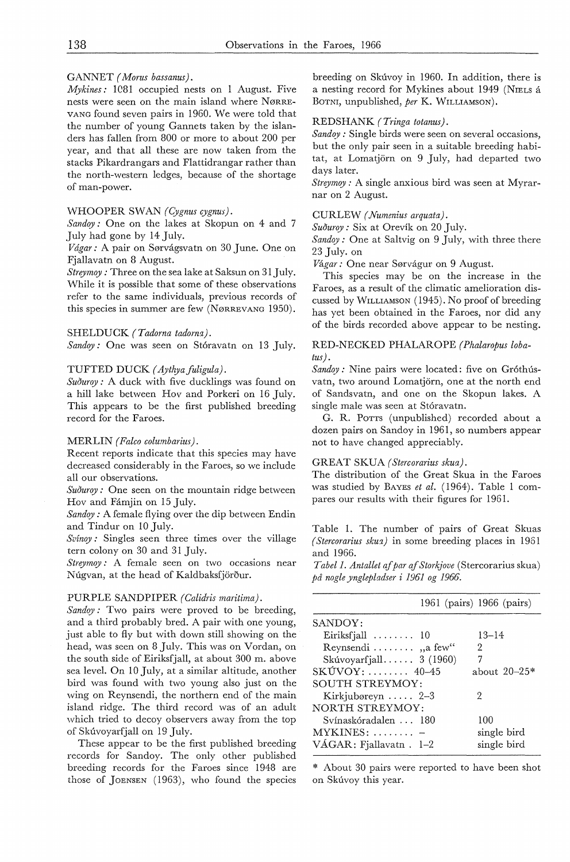#### GANNET *( Morus bassanus).*

*Mykines:* 1081 occupied nests on 1 August. Five nests were seen on the main island where NØRRE-VANG found seven pairs in 1960. We were told that the number of young Gannets taken by the islanders has fallen from 800 or more to about 200 per year, and that all these are now taken from the stacks Pikardrangars and Flattidrangar rather than the north-western ledges, because of the shortage of man-power.

#### WHOOPER SWAN *(Cygnus cygnus).*

*Sandoy :* One on the lakes at Skopun on 4 and 7 July had gone by 14 July.

*Vdgar:* A pair on Sørvagsvatn on 30 June. One on Fjallavatn on 8 August.

*Streymoy : Three on the sea lake at Saksun on 31 July.* While it is possible that some of these observations refer to the same individuals, previous records of this species in summer are few (NøRREVANG 1950).

#### SHELDUCK *(Tadorna tadorna).*

*Sandoy:* One was seen on Stóravatn on 13 July.

#### TUFTED DUCK (Aythya fuligula).

Suðuroy: A duck with five ducklings was found on a hill lake between *Hov* and Porkeri on 16 July. This appears to be the first published breeding record for the Faroes.

#### MERLIN (Falco columbarius).

Recent reports indicate that this species may have decreased considerably in the Faroes, so we include all our observations.

*Suouroy :* One seen on the mountain ridge between *Hov* and Famjin on 15 July.

*Sandoy:* A female flying over the dip between Endin and Tindur on 10 July.

*Svinoy:* Singles seen three times over the village tern colony on 30 and 31 July.

*Streymoy :* A female seen on two occasions near Núgvan, at the head of Kaldbaksfjörður.

#### PURPLE SANDPIPER *(Calidris maritima).*

*Sandoy*: Two pairs were proved to be breeding, and a third probably bred. A pair with one young, just able to fly but with down still showing on the head, was seen on 8 July. This was on Vordan, on the south side of Eiriksfjall, at about 300 m. above sea level. On 10 July, at a similar altitude, another bird was found with two young also just on the wing on Reynsendi, the northern end of the main island ridge. The third record was of an adult which tried to decoy observers away from the top of Skuvoyarfjall on 19 July.

These appear to be the first published breeding records for Sandoy. The only other published breeding records for the Faroes since 1948 are those of JOENSEN ( 1963), who found the species

breeding on Skúvoy in 1960. In addition, there is a nesting record for Mykines about 1949 (NIELS a BoTNI, unpublished, *per* K. WrLLIAMSON).

#### REDSHANK *( Tringa totanus).*

*Sandoy : Single birds were seen on several occasions,* but the only pair seen in a suitable breeding habitat, at Lomatjorn on 9 July, had departed two days later.

*Streymoy:* A single anxious bird was seen at Myrarnar on 2 August.

CURLEW *( Numenius arquata).* 

*Suouroy:* Six at Orevik on 20 July.

*Sandoy:* One at Saltvig on 9 July, with three there 23 July. on

*Vagar:* One near Sørvagur on 9 August.

This species may be on the increase in the Faroes, as a result of the climatic amelioration discussed by WrLLIAMSON ( 1945). No proof of breeding has yet been obtained in the Faroes, nor did any of the hirds recorded above appear to be nesting.

## RED-NECKED PHALAROPE *(Phalaropus loba-*

*tus).* 

Sandoy: Nine pairs were located: five on Gróthúsvatn, two around Lomatjörn, one at the north end of Sandsvatn, and one on the Skopun lakes. A single male was seen at Stóravatn.

G. R. PoTTS (unpublished) recorded about a dozen pairs on Sandoy in 1961, so numbers appear not to have changed appreciably.

#### GREAT SKUA *(Stercorarius skua).*

The distribution of the Great Skua in the Faroes was studied by BAYES *et al.* (1964). Table 1 compares our results with their figures for 1961.

Table 1. The number of pairs of Great Skuas *( Stercorarius skua)* in some breeding places in 1961 and 1966.

*Tabel 1. Antallet af par af Storkjove* (Stercorarius skua) *på nogle ynglepladser i* 1961 *og* 1966.

|                                       | 1961 (pairs) 1966 (pairs) |
|---------------------------------------|---------------------------|
| SANDOY:                               |                           |
| Eiriksfjall $\ldots \ldots \ldots$ 10 | $13 - 14$                 |
| Reynsendi $\dots \dots$ , a few"      | 2                         |
| Skúvovarfjall $3(1960)$               | 7                         |
| $SKUVOY: \ldots \ldots \quad 40-45$   | about $20 - 25*$          |
| SOUTH STREYMOY:                       |                           |
| Kirkjubøreyn $\ldots$ 2-3             | 2                         |
| NORTH STREYMOY:                       |                           |
| Svínaskóradalen  180                  | 100                       |
| $MYKINES: \ldots \ldots =$            | single bird               |
| $VAGAR$ : Fjallavatn. 1-2             | single bird               |

\* About 30 pairs were reported to have been shot on Skúvoy this year.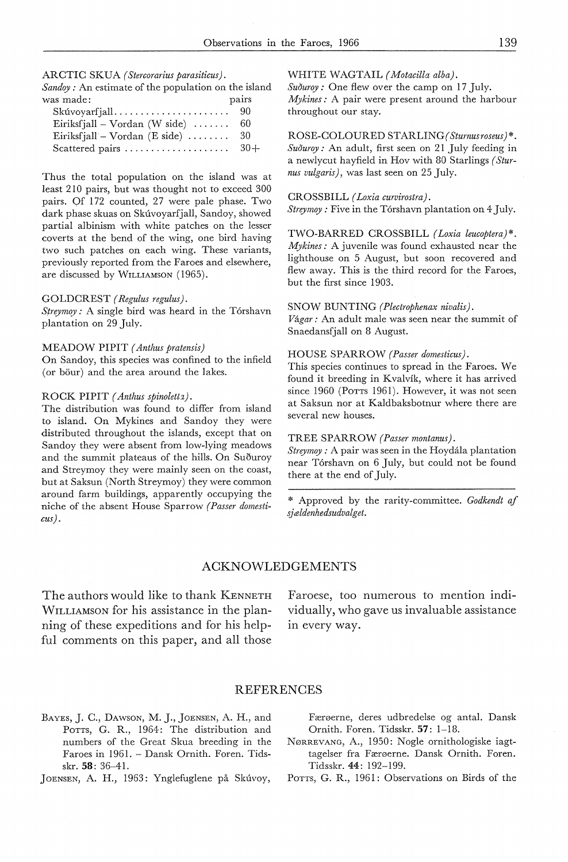#### ARCTIC SKUA *(Stercorarius parasiticus).*

| $Sandoy:$ An estimate of the population on the island |       |
|-------------------------------------------------------|-------|
| was made:                                             | pairs |
| $Skúvovarfjall \ldots \ldots \ldots \ldots$           | -90   |
| Eiriksfjall – Vordan (W side) $\dots \dots$           | -60   |
| Eiriksfjall – Vordan (E side) $\dots \dots$           | 30    |
| Scattered pairs                                       | $30+$ |

Thus the total population on the island was at least 210 pairs, but was thought not to exceed 300 pairs. Of 172 counted, 27 were pale phase. Two dark phase skuas on Skúvoyarfjall, Sandoy, showed partial albinism with white patches on the lesser coverts at the bend of the wing, one bird having two such patches on each wing. These variants, previously reported from the Faroes and elsewhere, are discussed by W1LLIAMSON (1965).

#### GOLDCREST *( Regulus regulus).*

*Streymo\_y:* A single bird was heard in the Torshavn plantation on 29 July.

#### MEADOW PIPIT *( Anthus pratensis)*

On Sandoy, this species was confined to the infield (or bour) and the area around the lakes.

#### ROCK PIPIT (Anthus spinoletta).

The distribution was found to differ from island to island. On Mykines and Sandoy they were distributed throughout the islands, except that on Sandoy they were absent from low-lying meadows and the summit plateaus of the hills. On Suðuroy and Streymoy they were mainly seen on the coast, but at Saksun (North Streymoy) they were common around farm buildings, apparently occupying the niche of the absent House Sparrow *(Passer domesticus).* 

WHITE WAGTAIL *( Motacilla alba).* 

*Suouroy:* One flew over the camp on 17 July. *Mykines:* A pair were present around the harbour throughout our stay.

ROSE-COLOURED STARLING( *Sturnusroseus)* \*. *Suðuroy:* An adult, first seen on 21 July feeding in a newlycut hayfield in Hov with 80 Starlings *( Sturnus vulgaris),* was last seen on 25 July.

#### CROSSBILL *( Loxia curvirostra).*

*Streymoy:* Five in the Torshavn plantation on 4 July.

TWO-BARRED CROSSBILL *(Loxia leucoptera)\*. Mykines:* A juvenile was found exhausted near the lighthouse on 5 August, but soon recovered and flew away. This is the third record for the Faroes, but the first since 1903.

#### SNOW BUNTING *(Plectrophenax nivalis).*

*Vagar:* An adult male was seen near the summit of Snaedansfjall on 8 August.

#### HOUSE SPARROW *(Passer domesticus).*

This species continues to spread in the Faroes. We found it breeding in Kvalvik, where it has arrived since 1960 (Porrs 1961). However, it was not seen at Saksun nor at Kaldbaksbotnur where there are several new houses.

# TREE SPARROW *(Passer montanus).*

*Streymoy :* A pair was seen in the Hoydala plantation near Torshavn on 6 July, but could not be found there at the end of July.

\* Approved by the rarity-committee. *Godkendt af sj ældenhedsudvalg et.* 

#### ACKNOWLEDGEMENTS

The authors would like to thank KENNETH WrLLIAMSON for his assistance in the planning of these expeditions and for his helpful comments on this paper, and all those

Faroese, too numerous to mention individually, who gave us invaluable assistance in every way.

## REFERENCES

- BAYES, J. C., DAWSON, M. J., JOENSEN, A. H., and Porrs, G. R., 1964: The distribution and numbers of the Great Skua breeding in the Faroes in 1961. - Dansk Ornith. Foren. Tidsskr. 58: 36-41.
- JOENSEN, A. H., 1963: Ynglefuglene på Skuvoy,

Færøerne, deres udbredelse og antal. Dansk Ornith. Foren. Tidsskr. 57: 1-18.

NøRREVANG, A., 1950: Nogle ornithologiske iagttagelser fra Færøerne. Dansk Ornith. Foren. Tidsskr. 44: 192-199.

POTTS, G. R., 1961: Observations on Birds of the